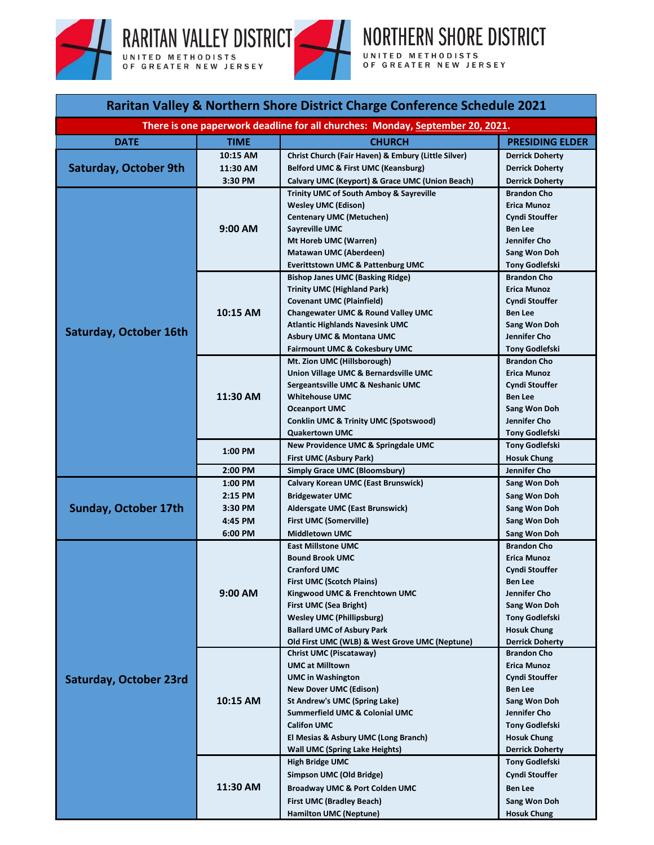



| Raritan Valley & Northern Shore District Charge Conference Schedule 2021      |             |                                                                                     |                                              |  |
|-------------------------------------------------------------------------------|-------------|-------------------------------------------------------------------------------------|----------------------------------------------|--|
| There is one paperwork deadline for all churches: Monday, September 20, 2021. |             |                                                                                     |                                              |  |
| <b>DATE</b>                                                                   | <b>TIME</b> | <b>CHURCH</b>                                                                       | <b>PRESIDING ELDER</b>                       |  |
|                                                                               | 10:15 AM    | Christ Church (Fair Haven) & Embury (Little Silver)                                 | <b>Derrick Doherty</b>                       |  |
| <b>Saturday, October 9th</b>                                                  | 11:30 AM    | Belford UMC & First UMC (Keansburg)                                                 | <b>Derrick Doherty</b>                       |  |
|                                                                               | 3:30 PM     | Calvary UMC (Keyport) & Grace UMC (Union Beach)                                     | <b>Derrick Doherty</b>                       |  |
|                                                                               | 9:00 AM     | <b>Trinity UMC of South Amboy &amp; Sayreville</b>                                  | <b>Brandon Cho</b>                           |  |
|                                                                               |             | <b>Wesley UMC (Edison)</b>                                                          | <b>Erica Munoz</b>                           |  |
|                                                                               |             | <b>Centenary UMC (Metuchen)</b>                                                     | <b>Cyndi Stouffer</b>                        |  |
|                                                                               |             | Sayreville UMC                                                                      | <b>Ben Lee</b>                               |  |
|                                                                               |             | Mt Horeb UMC (Warren)                                                               | Jennifer Cho                                 |  |
|                                                                               |             | <b>Matawan UMC (Aberdeen)</b>                                                       | Sang Won Doh                                 |  |
|                                                                               |             | <b>Everittstown UMC &amp; Pattenburg UMC</b>                                        | <b>Tony Godlefski</b>                        |  |
|                                                                               |             | <b>Bishop Janes UMC (Basking Ridge)</b>                                             | <b>Brandon Cho</b>                           |  |
|                                                                               |             | <b>Trinity UMC (Highland Park)</b>                                                  | <b>Erica Munoz</b>                           |  |
|                                                                               | 10:15 AM    | <b>Covenant UMC (Plainfield)</b><br>Changewater UMC & Round Valley UMC              | <b>Cyndi Stouffer</b><br><b>Ben Lee</b>      |  |
|                                                                               |             | <b>Atlantic Highlands Navesink UMC</b>                                              | Sang Won Doh                                 |  |
| Saturday, October 16th                                                        |             | <b>Asbury UMC &amp; Montana UMC</b>                                                 | Jennifer Cho                                 |  |
|                                                                               |             | Fairmount UMC & Cokesbury UMC                                                       | <b>Tony Godlefski</b>                        |  |
|                                                                               |             | Mt. Zion UMC (Hillsborough)                                                         | <b>Brandon Cho</b>                           |  |
|                                                                               |             | Union Village UMC & Bernardsville UMC                                               | <b>Erica Munoz</b>                           |  |
|                                                                               |             | Sergeantsville UMC & Neshanic UMC                                                   | <b>Cyndi Stouffer</b>                        |  |
|                                                                               | 11:30 AM    | <b>Whitehouse UMC</b>                                                               | <b>Ben Lee</b>                               |  |
|                                                                               |             | <b>Oceanport UMC</b>                                                                | Sang Won Doh                                 |  |
|                                                                               |             | <b>Conklin UMC &amp; Trinity UMC (Spotswood)</b>                                    | Jennifer Cho                                 |  |
|                                                                               |             | <b>Quakertown UMC</b>                                                               | Tony Godlefski                               |  |
|                                                                               |             | New Providence UMC & Springdale UMC                                                 | Tony Godlefski                               |  |
|                                                                               | 1:00 PM     | First UMC (Asbury Park)                                                             | <b>Hosuk Chung</b>                           |  |
|                                                                               | 2:00 PM     | <b>Simply Grace UMC (Bloomsbury)</b>                                                | Jennifer Cho                                 |  |
|                                                                               | 1:00 PM     | <b>Calvary Korean UMC (East Brunswick)</b>                                          | Sang Won Doh                                 |  |
|                                                                               | 2:15 PM     | <b>Bridgewater UMC</b>                                                              | Sang Won Doh                                 |  |
| <b>Sunday, October 17th</b>                                                   | 3:30 PM     | Aldersgate UMC (East Brunswick)                                                     | Sang Won Doh                                 |  |
|                                                                               | 4:45 PM     | <b>First UMC (Somerville)</b>                                                       | Sang Won Doh                                 |  |
|                                                                               | 6:00 PM     | <b>Middletown UMC</b>                                                               | Sang Won Doh                                 |  |
| Saturday, October 23rd                                                        | 9:00 AM     | <b>East Millstone UMC</b>                                                           | <b>Brandon Cho</b>                           |  |
|                                                                               |             | <b>Bound Brook UMC</b>                                                              | Erica Munoz                                  |  |
|                                                                               |             | <b>Cranford UMC</b>                                                                 | Cyndi Stouffer                               |  |
|                                                                               |             | <b>First UMC (Scotch Plains)</b>                                                    | <b>Ben Lee</b>                               |  |
|                                                                               |             | Kingwood UMC & Frenchtown UMC                                                       | Jennifer Cho                                 |  |
|                                                                               |             | First UMC (Sea Bright)                                                              | Sang Won Doh                                 |  |
|                                                                               |             | <b>Wesley UMC (Phillipsburg)</b>                                                    | <b>Tony Godlefski</b>                        |  |
|                                                                               |             | <b>Ballard UMC of Asbury Park</b><br>Old First UMC (WLB) & West Grove UMC (Neptune) | <b>Hosuk Chung</b><br><b>Derrick Doherty</b> |  |
|                                                                               |             | Christ UMC (Piscataway)                                                             | <b>Brandon Cho</b>                           |  |
|                                                                               | 10:15 AM    | <b>UMC at Milltown</b>                                                              | <b>Erica Munoz</b>                           |  |
|                                                                               |             | <b>UMC in Washington</b>                                                            | <b>Cyndi Stouffer</b>                        |  |
|                                                                               |             | <b>New Dover UMC (Edison)</b>                                                       | <b>Ben Lee</b>                               |  |
|                                                                               |             | <b>St Andrew's UMC (Spring Lake)</b>                                                | Sang Won Doh                                 |  |
|                                                                               |             | <b>Summerfield UMC &amp; Colonial UMC</b>                                           | Jennifer Cho                                 |  |
|                                                                               |             | <b>Califon UMC</b>                                                                  | <b>Tony Godlefski</b>                        |  |
|                                                                               |             | El Mesias & Asbury UMC (Long Branch)                                                | <b>Hosuk Chung</b>                           |  |
|                                                                               |             | <b>Wall UMC (Spring Lake Heights)</b>                                               | <b>Derrick Doherty</b>                       |  |
|                                                                               | 11:30 AM    | <b>High Bridge UMC</b>                                                              | <b>Tony Godlefski</b>                        |  |
|                                                                               |             | Simpson UMC (Old Bridge)                                                            | <b>Cyndi Stouffer</b>                        |  |
|                                                                               |             | <b>Broadway UMC &amp; Port Colden UMC</b>                                           | <b>Ben Lee</b>                               |  |
|                                                                               |             | <b>First UMC (Bradley Beach)</b>                                                    | Sang Won Doh                                 |  |
|                                                                               |             | <b>Hamilton UMC (Neptune)</b>                                                       | <b>Hosuk Chung</b>                           |  |